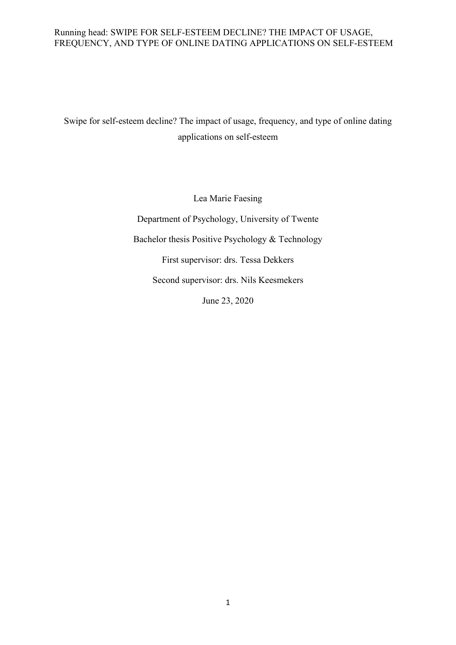Swipe for self-esteem decline? The impact of usage, frequency, and type of online dating applications on self-esteem

> Lea Marie Faesing Department of Psychology, University of Twente Bachelor thesis Positive Psychology & Technology First supervisor: drs. Tessa Dekkers Second supervisor: drs. Nils Keesmekers June 23, 2020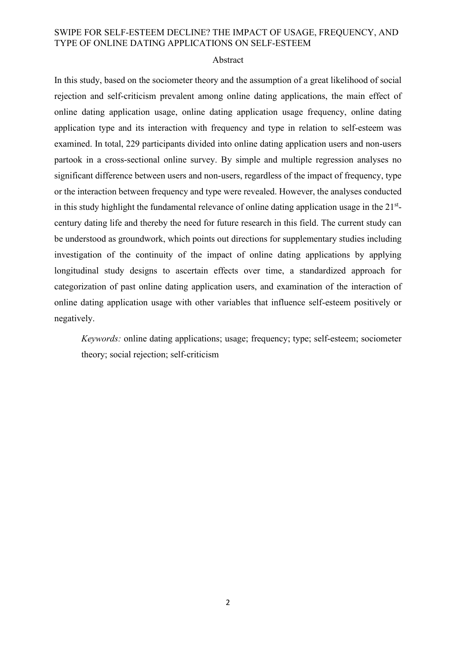#### Abstract

In this study, based on the sociometer theory and the assumption of a great likelihood of social rejection and self-criticism prevalent among online dating applications, the main effect of online dating application usage, online dating application usage frequency, online dating application type and its interaction with frequency and type in relation to self-esteem was examined. In total, 229 participants divided into online dating application users and non-users partook in a cross-sectional online survey. By simple and multiple regression analyses no significant difference between users and non-users, regardless of the impact of frequency, type or the interaction between frequency and type were revealed. However, the analyses conducted in this study highlight the fundamental relevance of online dating application usage in the 21<sup>st</sup>century dating life and thereby the need for future research in this field. The current study can be understood as groundwork, which points out directions for supplementary studies including investigation of the continuity of the impact of online dating applications by applying longitudinal study designs to ascertain effects over time, a standardized approach for categorization of past online dating application users, and examination of the interaction of online dating application usage with other variables that influence self-esteem positively or negatively.

*Keywords:* online dating applications; usage; frequency; type; self-esteem; sociometer theory; social rejection; self-criticism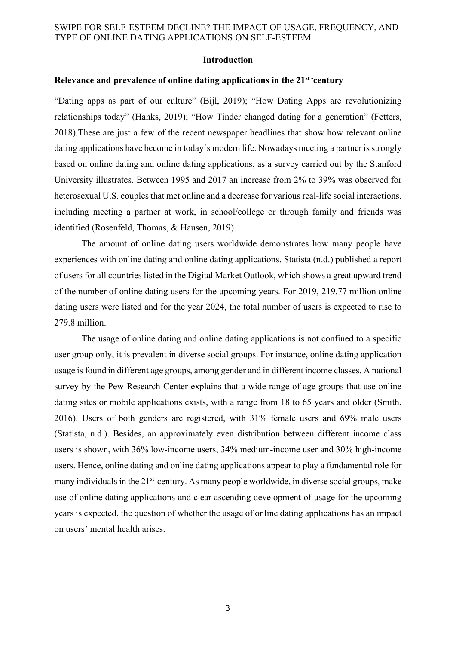#### **Introduction**

#### **Relevance and prevalence of online dating applications in the 21st -century**

"Dating apps as part of our culture" (Bijl, 2019); "How Dating Apps are revolutionizing relationships today" (Hanks, 2019); "How Tinder changed dating for a generation" (Fetters, 2018)*.*These are just a few of the recent newspaper headlines that show how relevant online dating applications have become in today´s modern life. Nowadays meeting a partner is strongly based on online dating and online dating applications, as a survey carried out by the Stanford University illustrates. Between 1995 and 2017 an increase from 2% to 39% was observed for heterosexual U.S. couples that met online and a decrease for various real-life social interactions, including meeting a partner at work, in school/college or through family and friends was identified (Rosenfeld, Thomas, & Hausen, 2019).

The amount of online dating users worldwide demonstrates how many people have experiences with online dating and online dating applications. Statista (n.d.) published a report of users for all countries listed in the Digital Market Outlook, which shows a great upward trend of the number of online dating users for the upcoming years. For 2019, 219.77 million online dating users were listed and for the year 2024, the total number of users is expected to rise to 279.8 million.

The usage of online dating and online dating applications is not confined to a specific user group only, it is prevalent in diverse social groups. For instance, online dating application usage is found in different age groups, among gender and in different income classes. A national survey by the Pew Research Center explains that a wide range of age groups that use online dating sites or mobile applications exists, with a range from 18 to 65 years and older (Smith, 2016). Users of both genders are registered, with 31% female users and 69% male users (Statista, n.d.). Besides, an approximately even distribution between different income class users is shown, with 36% low-income users, 34% medium-income user and 30% high-income users. Hence, online dating and online dating applications appear to play a fundamental role for many individuals in the 21<sup>st</sup>-century. As many people worldwide, in diverse social groups, make use of online dating applications and clear ascending development of usage for the upcoming years is expected, the question of whether the usage of online dating applications has an impact on users' mental health arises.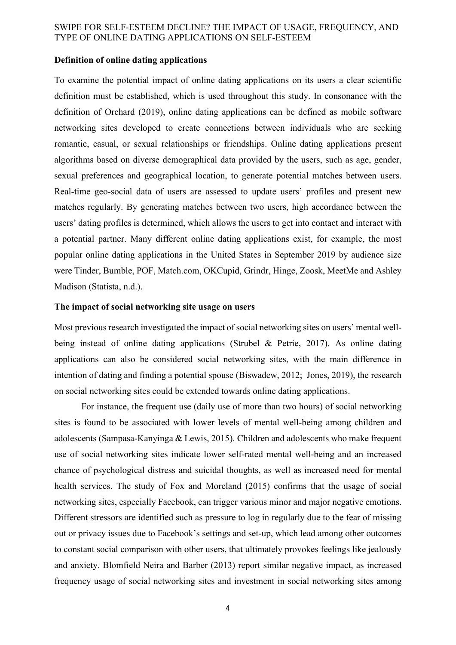#### **Definition of online dating applications**

To examine the potential impact of online dating applications on its users a clear scientific definition must be established, which is used throughout this study. In consonance with the definition of Orchard (2019), online dating applications can be defined as mobile software networking sites developed to create connections between individuals who are seeking romantic, casual, or sexual relationships or friendships. Online dating applications present algorithms based on diverse demographical data provided by the users, such as age, gender, sexual preferences and geographical location, to generate potential matches between users. Real-time geo-social data of users are assessed to update users' profiles and present new matches regularly. By generating matches between two users, high accordance between the users' dating profiles is determined, which allows the users to get into contact and interact with a potential partner. Many different online dating applications exist, for example, the most popular online dating applications in the United States in September 2019 by audience size were Tinder, Bumble, POF, Match.com, OKCupid, Grindr, Hinge, Zoosk, MeetMe and Ashley Madison (Statista, n.d.).

#### **The impact of social networking site usage on users**

Most previous research investigated the impact of social networking sites on users' mental wellbeing instead of online dating applications (Strubel & Petrie, 2017). As online dating applications can also be considered social networking sites, with the main difference in intention of dating and finding a potential spouse (Biswadew, 2012; Jones, 2019), the research on social networking sites could be extended towards online dating applications.

For instance, the frequent use (daily use of more than two hours) of social networking sites is found to be associated with lower levels of mental well-being among children and adolescents (Sampasa-Kanyinga & Lewis, 2015). Children and adolescents who make frequent use of social networking sites indicate lower self-rated mental well-being and an increased chance of psychological distress and suicidal thoughts, as well as increased need for mental health services. The study of Fox and Moreland (2015) confirms that the usage of social networking sites, especially Facebook, can trigger various minor and major negative emotions. Different stressors are identified such as pressure to log in regularly due to the fear of missing out or privacy issues due to Facebook's settings and set-up, which lead among other outcomes to constant social comparison with other users, that ultimately provokes feelings like jealously and anxiety. Blomfield Neira and Barber (2013) report similar negative impact, as increased frequency usage of social networking sites and investment in social networking sites among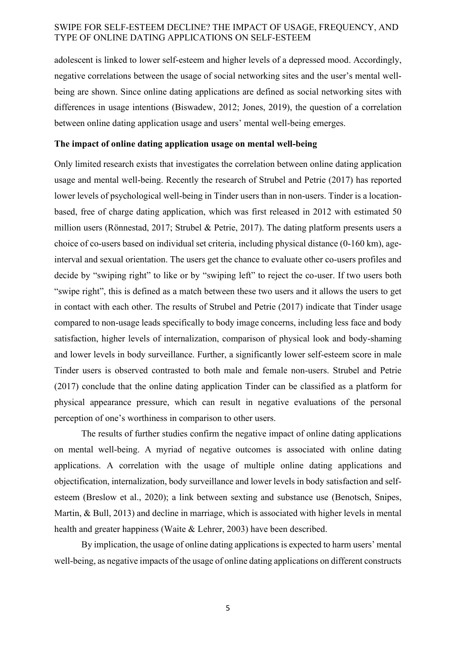adolescent is linked to lower self-esteem and higher levels of a depressed mood. Accordingly, negative correlations between the usage of social networking sites and the user's mental wellbeing are shown. Since online dating applications are defined as social networking sites with differences in usage intentions (Biswadew, 2012; Jones, 2019), the question of a correlation between online dating application usage and users' mental well-being emerges.

#### **The impact of online dating application usage on mental well-being**

Only limited research exists that investigates the correlation between online dating application usage and mental well-being. Recently the research of Strubel and Petrie (2017) has reported lower levels of psychological well-being in Tinder users than in non-users. Tinder is a locationbased, free of charge dating application, which was first released in 2012 with estimated 50 million users (Rönnestad, 2017; Strubel & Petrie, 2017). The dating platform presents users a choice of co-users based on individual set criteria, including physical distance (0-160 km), ageinterval and sexual orientation. The users get the chance to evaluate other co-users profiles and decide by "swiping right" to like or by "swiping left" to reject the co-user. If two users both "swipe right", this is defined as a match between these two users and it allows the users to get in contact with each other. The results of Strubel and Petrie (2017) indicate that Tinder usage compared to non-usage leads specifically to body image concerns, including less face and body satisfaction, higher levels of internalization, comparison of physical look and body-shaming and lower levels in body surveillance. Further, a significantly lower self-esteem score in male Tinder users is observed contrasted to both male and female non-users. Strubel and Petrie (2017) conclude that the online dating application Tinder can be classified as a platform for physical appearance pressure, which can result in negative evaluations of the personal perception of one's worthiness in comparison to other users.

The results of further studies confirm the negative impact of online dating applications on mental well-being. A myriad of negative outcomes is associated with online dating applications. A correlation with the usage of multiple online dating applications and objectification, internalization, body surveillance and lower levels in body satisfaction and selfesteem (Breslow et al., 2020); a link between sexting and substance use (Benotsch, Snipes, Martin, & Bull, 2013) and decline in marriage, which is associated with higher levels in mental health and greater happiness (Waite & Lehrer, 2003) have been described.

By implication, the usage of online dating applications is expected to harm users' mental well-being, as negative impacts of the usage of online dating applications on different constructs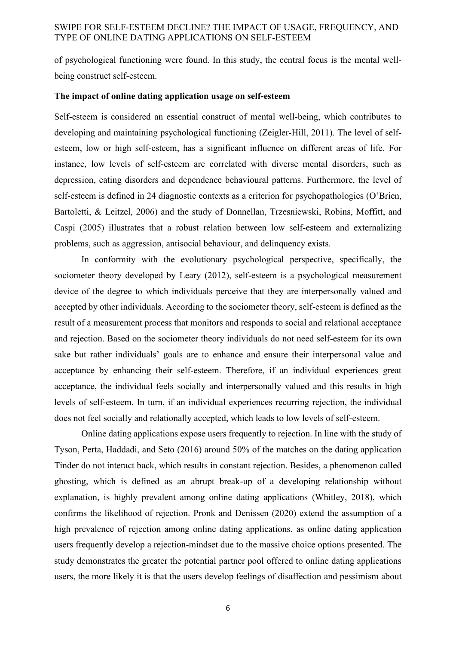of psychological functioning were found. In this study, the central focus is the mental wellbeing construct self-esteem.

#### **The impact of online dating application usage on self-esteem**

Self-esteem is considered an essential construct of mental well-being, which contributes to developing and maintaining psychological functioning (Zeigler-Hill, 2011). The level of selfesteem, low or high self-esteem, has a significant influence on different areas of life. For instance, low levels of self-esteem are correlated with diverse mental disorders, such as depression, eating disorders and dependence behavioural patterns. Furthermore, the level of self-esteem is defined in 24 diagnostic contexts as a criterion for psychopathologies (O'Brien, Bartoletti, & Leitzel, 2006) and the study of Donnellan, Trzesniewski, Robins, Moffitt, and Caspi (2005) illustrates that a robust relation between low self-esteem and externalizing problems, such as aggression, antisocial behaviour, and delinquency exists.

In conformity with the evolutionary psychological perspective, specifically, the sociometer theory developed by Leary (2012), self-esteem is a psychological measurement device of the degree to which individuals perceive that they are interpersonally valued and accepted by other individuals. According to the sociometer theory, self-esteem is defined as the result of a measurement process that monitors and responds to social and relational acceptance and rejection. Based on the sociometer theory individuals do not need self-esteem for its own sake but rather individuals' goals are to enhance and ensure their interpersonal value and acceptance by enhancing their self-esteem. Therefore, if an individual experiences great acceptance, the individual feels socially and interpersonally valued and this results in high levels of self-esteem. In turn, if an individual experiences recurring rejection, the individual does not feel socially and relationally accepted, which leads to low levels of self-esteem.

Online dating applications expose users frequently to rejection. In line with the study of Tyson, Perta, Haddadi, and Seto (2016) around 50% of the matches on the dating application Tinder do not interact back, which results in constant rejection. Besides, a phenomenon called ghosting, which is defined as an abrupt break-up of a developing relationship without explanation, is highly prevalent among online dating applications (Whitley, 2018), which confirms the likelihood of rejection. Pronk and Denissen (2020) extend the assumption of a high prevalence of rejection among online dating applications, as online dating application users frequently develop a rejection-mindset due to the massive choice options presented. The study demonstrates the greater the potential partner pool offered to online dating applications users, the more likely it is that the users develop feelings of disaffection and pessimism about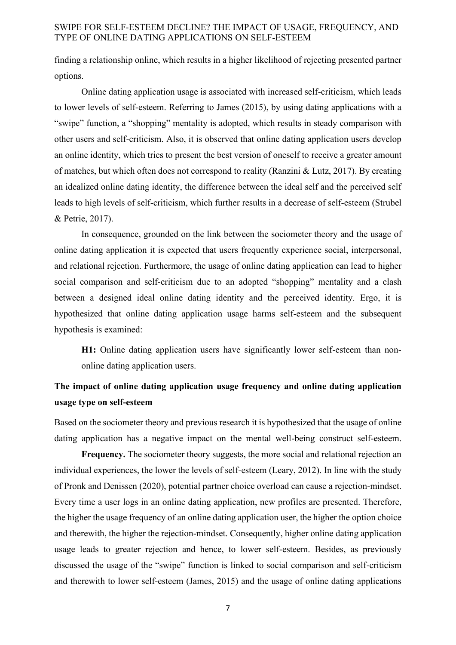finding a relationship online, which results in a higher likelihood of rejecting presented partner options.

Online dating application usage is associated with increased self-criticism, which leads to lower levels of self-esteem. Referring to James (2015), by using dating applications with a "swipe" function, a "shopping" mentality is adopted, which results in steady comparison with other users and self-criticism. Also, it is observed that online dating application users develop an online identity, which tries to present the best version of oneself to receive a greater amount of matches, but which often does not correspond to reality (Ranzini & Lutz, 2017). By creating an idealized online dating identity, the difference between the ideal self and the perceived self leads to high levels of self-criticism, which further results in a decrease of self-esteem (Strubel & Petrie, 2017).

In consequence, grounded on the link between the sociometer theory and the usage of online dating application it is expected that users frequently experience social, interpersonal, and relational rejection. Furthermore, the usage of online dating application can lead to higher social comparison and self-criticism due to an adopted "shopping" mentality and a clash between a designed ideal online dating identity and the perceived identity. Ergo, it is hypothesized that online dating application usage harms self-esteem and the subsequent hypothesis is examined:

**H1:** Online dating application users have significantly lower self-esteem than nononline dating application users.

# **The impact of online dating application usage frequency and online dating application usage type on self-esteem**

Based on the sociometer theory and previous research it is hypothesized that the usage of online dating application has a negative impact on the mental well-being construct self-esteem.

**Frequency.** The sociometer theory suggests, the more social and relational rejection an individual experiences, the lower the levels of self-esteem (Leary, 2012). In line with the study of Pronk and Denissen (2020), potential partner choice overload can cause a rejection-mindset. Every time a user logs in an online dating application, new profiles are presented. Therefore, the higher the usage frequency of an online dating application user, the higher the option choice and therewith, the higher the rejection-mindset. Consequently, higher online dating application usage leads to greater rejection and hence, to lower self-esteem. Besides, as previously discussed the usage of the "swipe" function is linked to social comparison and self-criticism and therewith to lower self-esteem (James, 2015) and the usage of online dating applications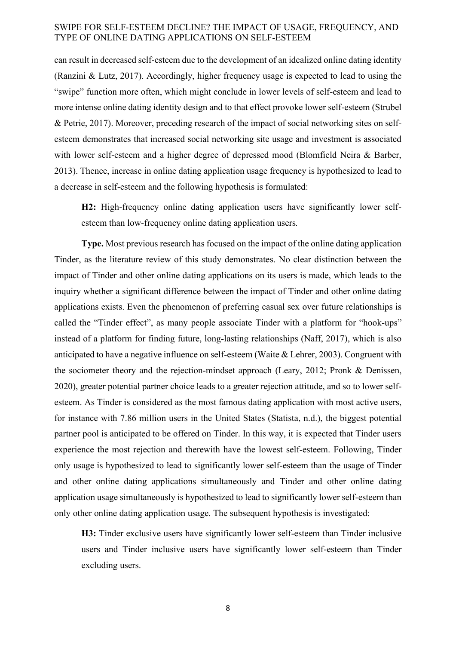can result in decreased self-esteem due to the development of an idealized online dating identity (Ranzini & Lutz, 2017). Accordingly, higher frequency usage is expected to lead to using the "swipe" function more often, which might conclude in lower levels of self-esteem and lead to more intense online dating identity design and to that effect provoke lower self-esteem (Strubel & Petrie, 2017). Moreover, preceding research of the impact of social networking sites on selfesteem demonstrates that increased social networking site usage and investment is associated with lower self-esteem and a higher degree of depressed mood (Blomfield Neira & Barber, 2013). Thence, increase in online dating application usage frequency is hypothesized to lead to a decrease in self-esteem and the following hypothesis is formulated:

**H2:** High-frequency online dating application users have significantly lower selfesteem than low-frequency online dating application users*.*

**Type.** Most previous research has focused on the impact of the online dating application Tinder, as the literature review of this study demonstrates. No clear distinction between the impact of Tinder and other online dating applications on its users is made, which leads to the inquiry whether a significant difference between the impact of Tinder and other online dating applications exists. Even the phenomenon of preferring casual sex over future relationships is called the "Tinder effect", as many people associate Tinder with a platform for "hook-ups" instead of a platform for finding future, long-lasting relationships (Naff, 2017), which is also anticipated to have a negative influence on self-esteem (Waite & Lehrer, 2003). Congruent with the sociometer theory and the rejection-mindset approach (Leary, 2012; Pronk & Denissen, 2020), greater potential partner choice leads to a greater rejection attitude, and so to lower selfesteem. As Tinder is considered as the most famous dating application with most active users, for instance with 7.86 million users in the United States (Statista, n.d.), the biggest potential partner pool is anticipated to be offered on Tinder. In this way, it is expected that Tinder users experience the most rejection and therewith have the lowest self-esteem. Following, Tinder only usage is hypothesized to lead to significantly lower self-esteem than the usage of Tinder and other online dating applications simultaneously and Tinder and other online dating application usage simultaneously is hypothesized to lead to significantly lower self-esteem than only other online dating application usage. The subsequent hypothesis is investigated:

**H3:** Tinder exclusive users have significantly lower self-esteem than Tinder inclusive users and Tinder inclusive users have significantly lower self-esteem than Tinder excluding users.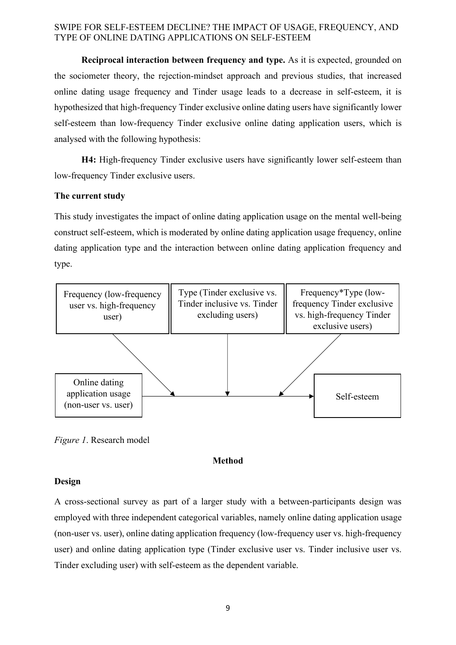**Reciprocal interaction between frequency and type.** As it is expected, grounded on the sociometer theory, the rejection-mindset approach and previous studies, that increased online dating usage frequency and Tinder usage leads to a decrease in self-esteem, it is hypothesized that high-frequency Tinder exclusive online dating users have significantly lower self-esteem than low-frequency Tinder exclusive online dating application users, which is analysed with the following hypothesis:

**H4:** High-frequency Tinder exclusive users have significantly lower self-esteem than low-frequency Tinder exclusive users.

## **The current study**

This study investigates the impact of online dating application usage on the mental well-being construct self-esteem, which is moderated by online dating application usage frequency, online dating application type and the interaction between online dating application frequency and type.



*Figure 1*. Research model

## **Method**

#### **Design**

A cross-sectional survey as part of a larger study with a between-participants design was employed with three independent categorical variables, namely online dating application usage (non-user vs. user), online dating application frequency (low-frequency user vs. high-frequency user) and online dating application type (Tinder exclusive user vs. Tinder inclusive user vs. Tinder excluding user) with self-esteem as the dependent variable.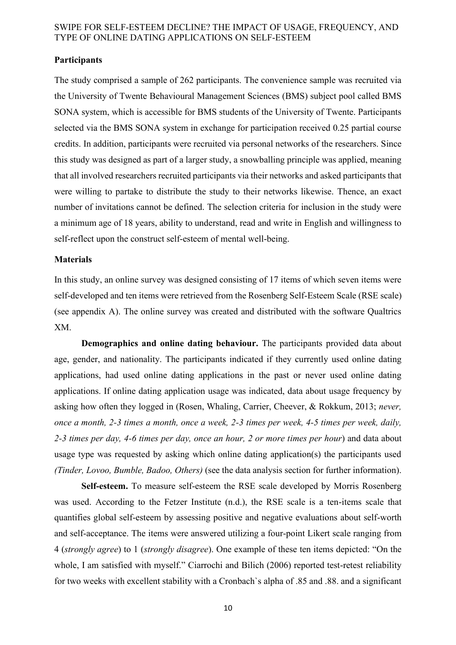## **Participants**

The study comprised a sample of 262 participants. The convenience sample was recruited via the University of Twente Behavioural Management Sciences (BMS) subject pool called BMS SONA system, which is accessible for BMS students of the University of Twente. Participants selected via the BMS SONA system in exchange for participation received 0.25 partial course credits. In addition, participants were recruited via personal networks of the researchers. Since this study was designed as part of a larger study, a snowballing principle was applied, meaning that all involved researchers recruited participants via their networks and asked participants that were willing to partake to distribute the study to their networks likewise. Thence, an exact number of invitations cannot be defined. The selection criteria for inclusion in the study were a minimum age of 18 years, ability to understand, read and write in English and willingness to self-reflect upon the construct self-esteem of mental well-being.

#### **Materials**

In this study, an online survey was designed consisting of 17 items of which seven items were self-developed and ten items were retrieved from the Rosenberg Self-Esteem Scale (RSE scale) (see appendix A). The online survey was created and distributed with the software Qualtrics XM.

**Demographics and online dating behaviour.** The participants provided data about age, gender, and nationality. The participants indicated if they currently used online dating applications, had used online dating applications in the past or never used online dating applications. If online dating application usage was indicated, data about usage frequency by asking how often they logged in (Rosen, Whaling, Carrier, Cheever, & Rokkum, 2013; *never, once a month, 2-3 times a month, once a week, 2-3 times per week, 4-5 times per week, daily, 2-3 times per day, 4-6 times per day, once an hour, 2 or more times per hour*) and data about usage type was requested by asking which online dating application(s) the participants used *(Tinder, Lovoo, Bumble, Badoo, Others)* (see the data analysis section for further information).

**Self-esteem.** To measure self-esteem the RSE scale developed by Morris Rosenberg was used. According to the Fetzer Institute (n.d.), the RSE scale is a ten-items scale that quantifies global self-esteem by assessing positive and negative evaluations about self-worth and self-acceptance. The items were answered utilizing a four-point Likert scale ranging from 4 (*strongly agree*) to 1 (*strongly disagree*). One example of these ten items depicted: "On the whole, I am satisfied with myself." Ciarrochi and Bilich (2006) reported test-retest reliability for two weeks with excellent stability with a Cronbach`s alpha of .85 and .88. and a significant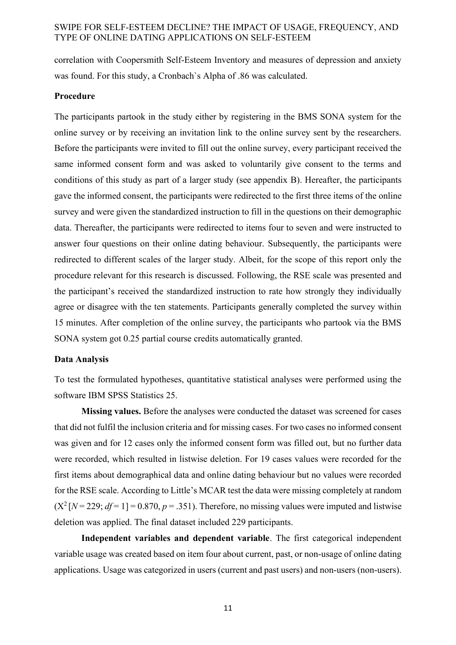correlation with Coopersmith Self-Esteem Inventory and measures of depression and anxiety was found. For this study, a Cronbach`s Alpha of .86 was calculated.

#### **Procedure**

The participants partook in the study either by registering in the BMS SONA system for the online survey or by receiving an invitation link to the online survey sent by the researchers. Before the participants were invited to fill out the online survey, every participant received the same informed consent form and was asked to voluntarily give consent to the terms and conditions of this study as part of a larger study (see appendix B). Hereafter, the participants gave the informed consent, the participants were redirected to the first three items of the online survey and were given the standardized instruction to fill in the questions on their demographic data. Thereafter, the participants were redirected to items four to seven and were instructed to answer four questions on their online dating behaviour. Subsequently, the participants were redirected to different scales of the larger study. Albeit, for the scope of this report only the procedure relevant for this research is discussed. Following, the RSE scale was presented and the participant's received the standardized instruction to rate how strongly they individually agree or disagree with the ten statements. Participants generally completed the survey within 15 minutes. After completion of the online survey, the participants who partook via the BMS SONA system got 0.25 partial course credits automatically granted.

#### **Data Analysis**

To test the formulated hypotheses, quantitative statistical analyses were performed using the software IBM SPSS Statistics 25.

**Missing values.** Before the analyses were conducted the dataset was screened for cases that did not fulfil the inclusion criteria and for missing cases. For two cases no informed consent was given and for 12 cases only the informed consent form was filled out, but no further data were recorded, which resulted in listwise deletion. For 19 cases values were recorded for the first items about demographical data and online dating behaviour but no values were recorded for the RSE scale. According to Little's MCAR test the data were missing completely at random  $(X^2[N = 229; df = 1] = 0.870, p = .351)$ . Therefore, no missing values were imputed and listwise deletion was applied. The final dataset included 229 participants.

**Independent variables and dependent variable**. The first categorical independent variable usage was created based on item four about current, past, or non-usage of online dating applications. Usage was categorized in users (current and past users) and non-users (non-users).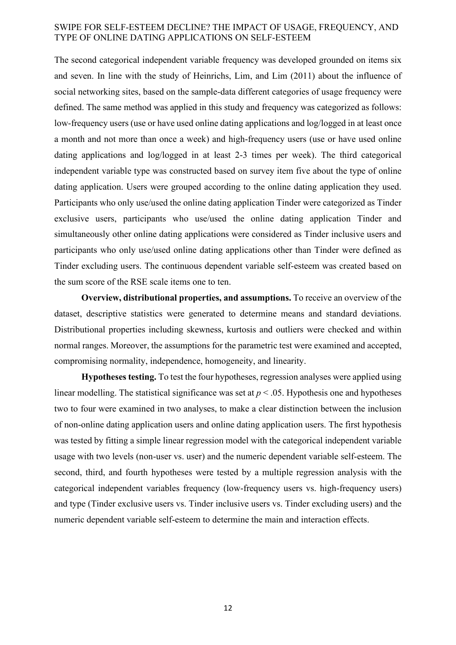The second categorical independent variable frequency was developed grounded on items six and seven. In line with the study of Heinrichs, Lim, and Lim (2011) about the influence of social networking sites, based on the sample-data different categories of usage frequency were defined. The same method was applied in this study and frequency was categorized as follows: low-frequency users (use or have used online dating applications and log/logged in at least once a month and not more than once a week) and high-frequency users (use or have used online dating applications and log/logged in at least 2-3 times per week). The third categorical independent variable type was constructed based on survey item five about the type of online dating application. Users were grouped according to the online dating application they used. Participants who only use/used the online dating application Tinder were categorized as Tinder exclusive users, participants who use/used the online dating application Tinder and simultaneously other online dating applications were considered as Tinder inclusive users and participants who only use/used online dating applications other than Tinder were defined as Tinder excluding users. The continuous dependent variable self-esteem was created based on the sum score of the RSE scale items one to ten.

**Overview, distributional properties, and assumptions.** To receive an overview of the dataset, descriptive statistics were generated to determine means and standard deviations. Distributional properties including skewness, kurtosis and outliers were checked and within normal ranges. Moreover, the assumptions for the parametric test were examined and accepted, compromising normality, independence, homogeneity, and linearity.

**Hypotheses testing.** To test the four hypotheses, regression analyses were applied using linear modelling. The statistical significance was set at  $p < .05$ . Hypothesis one and hypotheses two to four were examined in two analyses, to make a clear distinction between the inclusion of non-online dating application users and online dating application users. The first hypothesis was tested by fitting a simple linear regression model with the categorical independent variable usage with two levels (non-user vs. user) and the numeric dependent variable self-esteem. The second, third, and fourth hypotheses were tested by a multiple regression analysis with the categorical independent variables frequency (low-frequency users vs. high-frequency users) and type (Tinder exclusive users vs. Tinder inclusive users vs. Tinder excluding users) and the numeric dependent variable self-esteem to determine the main and interaction effects.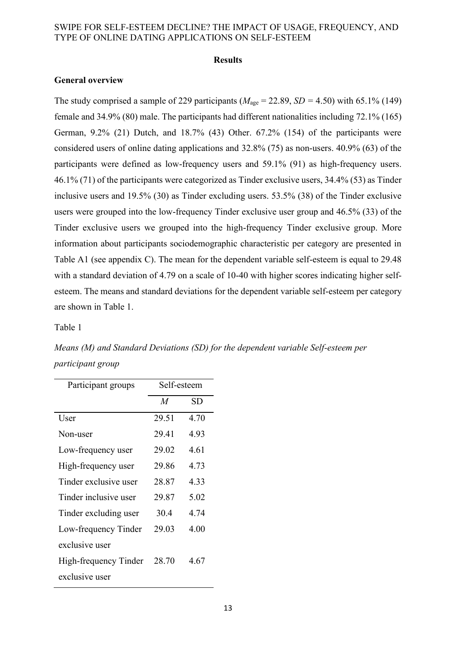#### **Results**

#### **General overview**

The study comprised a sample of 229 participants ( $M_{\text{age}} = 22.89$ ,  $SD = 4.50$ ) with 65.1% (149) female and 34.9% (80) male. The participants had different nationalities including 72.1% (165) German, 9.2% (21) Dutch, and 18.7% (43) Other. 67.2% (154) of the participants were considered users of online dating applications and 32.8% (75) as non-users. 40.9% (63) of the participants were defined as low-frequency users and 59.1% (91) as high-frequency users. 46.1% (71) of the participants were categorized as Tinder exclusive users, 34.4% (53) as Tinder inclusive users and 19.5% (30) as Tinder excluding users. 53.5% (38) of the Tinder exclusive users were grouped into the low-frequency Tinder exclusive user group and 46.5% (33) of the Tinder exclusive users we grouped into the high-frequency Tinder exclusive group. More information about participants sociodemographic characteristic per category are presented in Table A1 (see appendix C). The mean for the dependent variable self-esteem is equal to 29.48 with a standard deviation of 4.79 on a scale of 10-40 with higher scores indicating higher selfesteem. The means and standard deviations for the dependent variable self-esteem per category are shown in Table 1.

#### Table 1

*Means (M) and Standard Deviations (SD) for the dependent variable Self-esteem per participant group*

| Participant groups    | Self-esteem      |      |  |  |  |  |  |
|-----------------------|------------------|------|--|--|--|--|--|
|                       | $\boldsymbol{M}$ | SD   |  |  |  |  |  |
| User                  | 29.51            | 4.70 |  |  |  |  |  |
| Non-user              | 29.41            | 4.93 |  |  |  |  |  |
| Low-frequency user    | 29.02            | 4.61 |  |  |  |  |  |
| High-frequency user   | 29.86            | 4.73 |  |  |  |  |  |
| Tinder exclusive user | 28.87            | 4.33 |  |  |  |  |  |
| Tinder inclusive user | 29.87            | 5.02 |  |  |  |  |  |
| Tinder excluding user | 30.4             | 4.74 |  |  |  |  |  |
| Low-frequency Tinder  | 29.03            | 4.00 |  |  |  |  |  |
| exclusive user        |                  |      |  |  |  |  |  |
| High-frequency Tinder | 28.70            | 4.67 |  |  |  |  |  |
| exclusive user        |                  |      |  |  |  |  |  |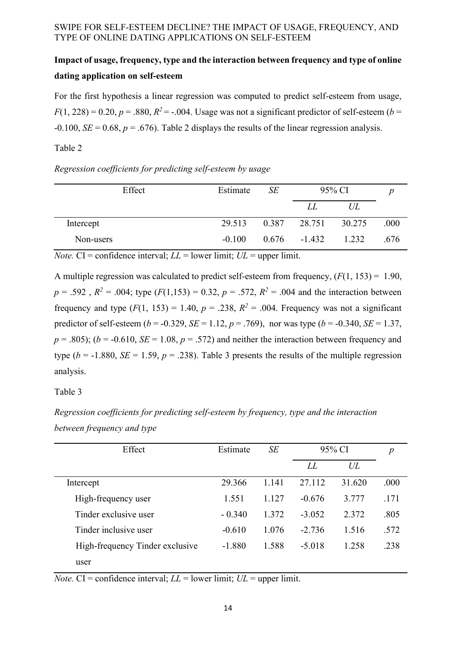# **Impact of usage, frequency, type and the interaction between frequency and type of online dating application on self-esteem**

For the first hypothesis a linear regression was computed to predict self-esteem from usage,  $F(1, 228) = 0.20, p = .880, R^2 = -.004$ . Usage was not a significant predictor of self-esteem (*b* =  $-0.100$ , *SE* = 0.68, *p* = .676). Table 2 displays the results of the linear regression analysis.

## Table 2

*Regression coefficients for predicting self-esteem by usage*

| Effect    | Estimate | SE | 95% CI          |        |      |
|-----------|----------|----|-----------------|--------|------|
|           |          |    | LL              | UL     |      |
| Intercept | 29.513   |    | $0.387$ 28.751  | 30.275 | .000 |
| Non-users | $-0.100$ |    | $0.676 - 1.432$ | 1.232  | .676 |

*Note.* CI = confidence interval;  $LL$  = lower limit;  $UL$  = upper limit.

A multiple regression was calculated to predict self-esteem from frequency, (*F*(1, 153) = 1.90,  $p = .592$ ,  $R^2 = .004$ ; type  $(F(1,153) = 0.32, p = .572, R^2 = .004$  and the interaction between frequency and type  $(F(1, 153) = 1.40, p = .238, R^2 = .004$ . Frequency was not a significant predictor of self-esteem ( $b = -0.329$ ,  $SE = 1.12$ ,  $p = .769$ ), nor was type ( $b = -0.340$ ,  $SE = 1.37$ ,  $p = .805$ ; ( $b = -0.610$ ,  $SE = 1.08$ ,  $p = .572$ ) and neither the interaction between frequency and type ( $b = -1.880$ , *SE* = 1.59,  $p = .238$ ). Table 3 presents the results of the multiple regression analysis.

Table 3

*Regression coefficients for predicting self-esteem by frequency, type and the interaction between frequency and type* 

| Effect                          | Estimate | SE    | 95% CI   | $\boldsymbol{p}$ |      |
|---------------------------------|----------|-------|----------|------------------|------|
|                                 |          |       | LL       | UL               |      |
| Intercept                       | 29.366   | 1.141 | 27.112   | 31.620           | .000 |
| High-frequency user             | 1.551    | 1.127 | $-0.676$ | 3.777            | .171 |
| Tinder exclusive user           | $-0.340$ | 1.372 | $-3.052$ | 2.372            | .805 |
| Tinder inclusive user           | $-0.610$ | 1.076 | $-2.736$ | 1.516            | .572 |
| High-frequency Tinder exclusive | $-1.880$ | 1.588 | $-5.018$ | 1.258            | .238 |
| user                            |          |       |          |                  |      |

*Note.* CI = confidence interval;  $LL$  = lower limit;  $UL$  = upper limit.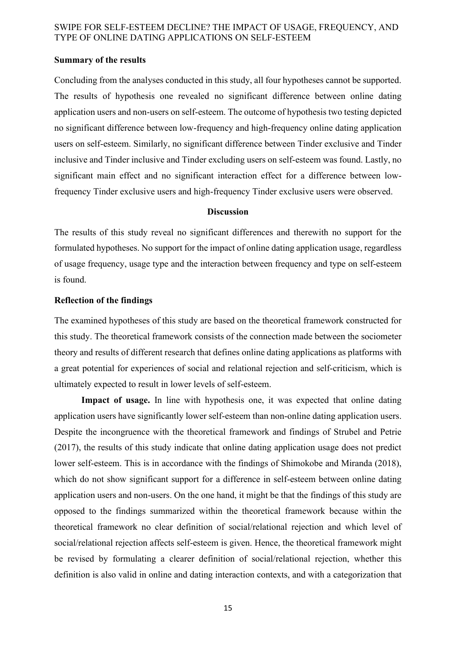#### **Summary of the results**

Concluding from the analyses conducted in this study, all four hypotheses cannot be supported. The results of hypothesis one revealed no significant difference between online dating application users and non-users on self-esteem. The outcome of hypothesis two testing depicted no significant difference between low-frequency and high-frequency online dating application users on self-esteem. Similarly, no significant difference between Tinder exclusive and Tinder inclusive and Tinder inclusive and Tinder excluding users on self-esteem was found. Lastly, no significant main effect and no significant interaction effect for a difference between lowfrequency Tinder exclusive users and high-frequency Tinder exclusive users were observed.

#### **Discussion**

The results of this study reveal no significant differences and therewith no support for the formulated hypotheses. No support for the impact of online dating application usage, regardless of usage frequency, usage type and the interaction between frequency and type on self-esteem is found.

#### **Reflection of the findings**

The examined hypotheses of this study are based on the theoretical framework constructed for this study. The theoretical framework consists of the connection made between the sociometer theory and results of different research that defines online dating applications as platforms with a great potential for experiences of social and relational rejection and self-criticism, which is ultimately expected to result in lower levels of self-esteem.

Impact of usage. In line with hypothesis one, it was expected that online dating application users have significantly lower self-esteem than non-online dating application users. Despite the incongruence with the theoretical framework and findings of Strubel and Petrie (2017), the results of this study indicate that online dating application usage does not predict lower self-esteem. This is in accordance with the findings of Shimokobe and Miranda (2018), which do not show significant support for a difference in self-esteem between online dating application users and non-users. On the one hand, it might be that the findings of this study are opposed to the findings summarized within the theoretical framework because within the theoretical framework no clear definition of social/relational rejection and which level of social/relational rejection affects self-esteem is given. Hence, the theoretical framework might be revised by formulating a clearer definition of social/relational rejection, whether this definition is also valid in online and dating interaction contexts, and with a categorization that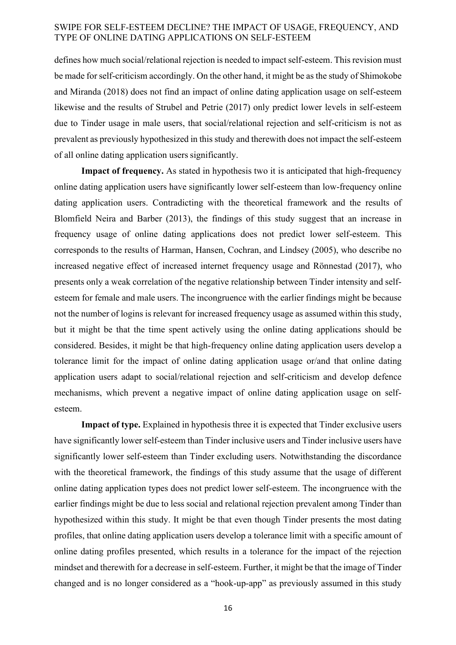defines how much social/relational rejection is needed to impact self-esteem. This revision must be made for self-criticism accordingly. On the other hand, it might be as the study of Shimokobe and Miranda (2018) does not find an impact of online dating application usage on self-esteem likewise and the results of Strubel and Petrie (2017) only predict lower levels in self-esteem due to Tinder usage in male users, that social/relational rejection and self-criticism is not as prevalent as previously hypothesized in this study and therewith does not impact the self-esteem of all online dating application users significantly.

**Impact of frequency.** As stated in hypothesis two it is anticipated that high-frequency online dating application users have significantly lower self-esteem than low-frequency online dating application users. Contradicting with the theoretical framework and the results of Blomfield Neira and Barber (2013), the findings of this study suggest that an increase in frequency usage of online dating applications does not predict lower self-esteem. This corresponds to the results of Harman, Hansen, Cochran, and Lindsey (2005), who describe no increased negative effect of increased internet frequency usage and Rönnestad (2017), who presents only a weak correlation of the negative relationship between Tinder intensity and selfesteem for female and male users. The incongruence with the earlier findings might be because not the number of logins is relevant for increased frequency usage as assumed within this study, but it might be that the time spent actively using the online dating applications should be considered. Besides, it might be that high-frequency online dating application users develop a tolerance limit for the impact of online dating application usage or/and that online dating application users adapt to social/relational rejection and self-criticism and develop defence mechanisms, which prevent a negative impact of online dating application usage on selfesteem.

**Impact of type.** Explained in hypothesis three it is expected that Tinder exclusive users have significantly lower self-esteem than Tinder inclusive users and Tinder inclusive users have significantly lower self-esteem than Tinder excluding users. Notwithstanding the discordance with the theoretical framework, the findings of this study assume that the usage of different online dating application types does not predict lower self-esteem. The incongruence with the earlier findings might be due to less social and relational rejection prevalent among Tinder than hypothesized within this study. It might be that even though Tinder presents the most dating profiles, that online dating application users develop a tolerance limit with a specific amount of online dating profiles presented, which results in a tolerance for the impact of the rejection mindset and therewith for a decrease in self-esteem. Further, it might be that the image of Tinder changed and is no longer considered as a "hook-up-app" as previously assumed in this study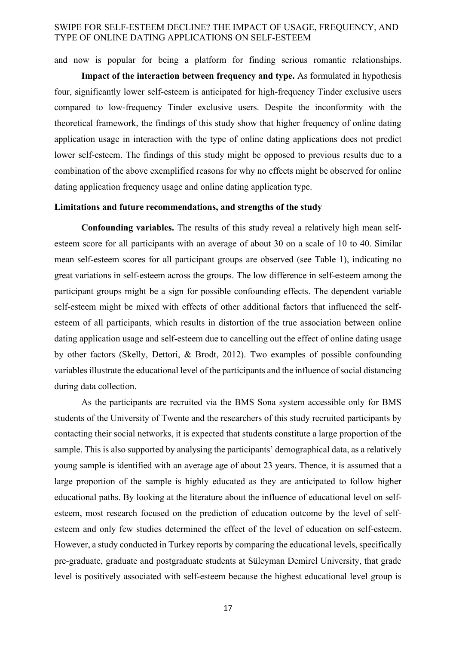and now is popular for being a platform for finding serious romantic relationships.

**Impact of the interaction between frequency and type.** As formulated in hypothesis four, significantly lower self-esteem is anticipated for high-frequency Tinder exclusive users compared to low-frequency Tinder exclusive users. Despite the inconformity with the theoretical framework, the findings of this study show that higher frequency of online dating application usage in interaction with the type of online dating applications does not predict lower self-esteem. The findings of this study might be opposed to previous results due to a combination of the above exemplified reasons for why no effects might be observed for online dating application frequency usage and online dating application type.

#### **Limitations and future recommendations, and strengths of the study**

**Confounding variables.** The results of this study reveal a relatively high mean selfesteem score for all participants with an average of about 30 on a scale of 10 to 40. Similar mean self-esteem scores for all participant groups are observed (see Table 1), indicating no great variations in self-esteem across the groups. The low difference in self-esteem among the participant groups might be a sign for possible confounding effects. The dependent variable self-esteem might be mixed with effects of other additional factors that influenced the selfesteem of all participants, which results in distortion of the true association between online dating application usage and self-esteem due to cancelling out the effect of online dating usage by other factors (Skelly, Dettori, & Brodt, 2012). Two examples of possible confounding variables illustrate the educational level of the participants and the influence of social distancing during data collection.

As the participants are recruited via the BMS Sona system accessible only for BMS students of the University of Twente and the researchers of this study recruited participants by contacting their social networks, it is expected that students constitute a large proportion of the sample. This is also supported by analysing the participants' demographical data, as a relatively young sample is identified with an average age of about 23 years. Thence, it is assumed that a large proportion of the sample is highly educated as they are anticipated to follow higher educational paths. By looking at the literature about the influence of educational level on selfesteem, most research focused on the prediction of education outcome by the level of selfesteem and only few studies determined the effect of the level of education on self-esteem. However, a study conducted in Turkey reports by comparing the educational levels, specifically pre-graduate, graduate and postgraduate students at Süleyman Demirel University, that grade level is positively associated with self-esteem because the highest educational level group is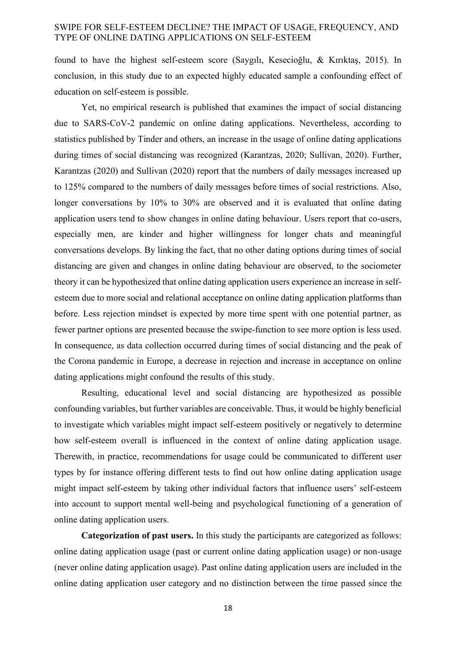found to have the highest self-esteem score (Saygılı, Kesecioğlu, & Kırıktaş, 2015). In conclusion, in this study due to an expected highly educated sample a confounding effect of education on self-esteem is possible.

Yet, no empirical research is published that examines the impact of social distancing due to SARS-CoV-2 pandemic on online dating applications. Nevertheless, according to statistics published by Tinder and others, an increase in the usage of online dating applications during times of social distancing was recognized (Karantzas, 2020; Sullivan, 2020). Further, Karantzas (2020) and Sullivan (2020) report that the numbers of daily messages increased up to 125% compared to the numbers of daily messages before times of social restrictions. Also, longer conversations by 10% to 30% are observed and it is evaluated that online dating application users tend to show changes in online dating behaviour. Users report that co-users, especially men, are kinder and higher willingness for longer chats and meaningful conversations develops. By linking the fact, that no other dating options during times of social distancing are given and changes in online dating behaviour are observed, to the sociometer theory it can be hypothesized that online dating application users experience an increase in selfesteem due to more social and relational acceptance on online dating application platforms than before. Less rejection mindset is expected by more time spent with one potential partner, as fewer partner options are presented because the swipe-function to see more option is less used. In consequence, as data collection occurred during times of social distancing and the peak of the Corona pandemic in Europe, a decrease in rejection and increase in acceptance on online dating applications might confound the results of this study.

Resulting, educational level and social distancing are hypothesized as possible confounding variables, but further variables are conceivable. Thus, it would be highly beneficial to investigate which variables might impact self-esteem positively or negatively to determine how self-esteem overall is influenced in the context of online dating application usage. Therewith, in practice, recommendations for usage could be communicated to different user types by for instance offering different tests to find out how online dating application usage might impact self-esteem by taking other individual factors that influence users' self-esteem into account to support mental well-being and psychological functioning of a generation of online dating application users.

**Categorization of past users.** In this study the participants are categorized as follows: online dating application usage (past or current online dating application usage) or non-usage (never online dating application usage). Past online dating application users are included in the online dating application user category and no distinction between the time passed since the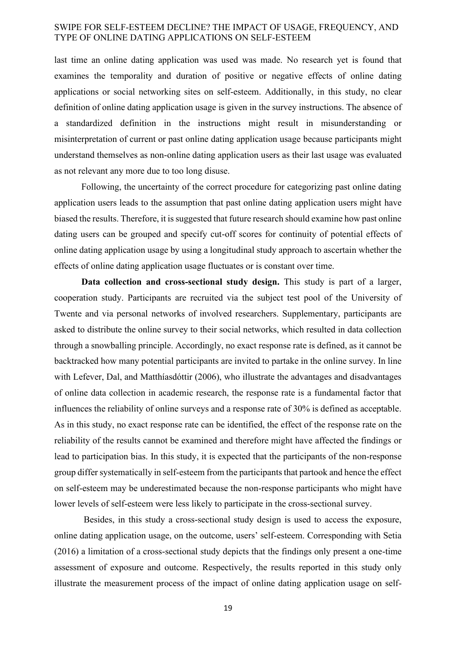last time an online dating application was used was made. No research yet is found that examines the temporality and duration of positive or negative effects of online dating applications or social networking sites on self-esteem. Additionally, in this study, no clear definition of online dating application usage is given in the survey instructions. The absence of a standardized definition in the instructions might result in misunderstanding or misinterpretation of current or past online dating application usage because participants might understand themselves as non-online dating application users as their last usage was evaluated as not relevant any more due to too long disuse.

Following, the uncertainty of the correct procedure for categorizing past online dating application users leads to the assumption that past online dating application users might have biased the results. Therefore, it is suggested that future research should examine how past online dating users can be grouped and specify cut-off scores for continuity of potential effects of online dating application usage by using a longitudinal study approach to ascertain whether the effects of online dating application usage fluctuates or is constant over time.

**Data collection and cross-sectional study design.** This study is part of a larger, cooperation study. Participants are recruited via the subject test pool of the University of Twente and via personal networks of involved researchers. Supplementary, participants are asked to distribute the online survey to their social networks, which resulted in data collection through a snowballing principle. Accordingly, no exact response rate is defined, as it cannot be backtracked how many potential participants are invited to partake in the online survey. In line with Lefever, Dal, and Matthíasdóttir (2006), who illustrate the advantages and disadvantages of online data collection in academic research, the response rate is a fundamental factor that influences the reliability of online surveys and a response rate of 30% is defined as acceptable. As in this study, no exact response rate can be identified, the effect of the response rate on the reliability of the results cannot be examined and therefore might have affected the findings or lead to participation bias. In this study, it is expected that the participants of the non-response group differ systematically in self-esteem from the participants that partook and hence the effect on self-esteem may be underestimated because the non-response participants who might have lower levels of self-esteem were less likely to participate in the cross-sectional survey.

Besides, in this study a cross-sectional study design is used to access the exposure, online dating application usage, on the outcome, users' self-esteem. Corresponding with Setia (2016) a limitation of a cross-sectional study depicts that the findings only present a one-time assessment of exposure and outcome. Respectively, the results reported in this study only illustrate the measurement process of the impact of online dating application usage on self-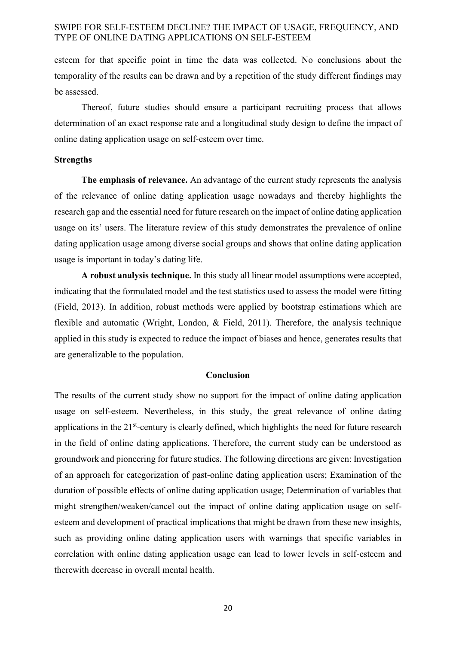esteem for that specific point in time the data was collected. No conclusions about the temporality of the results can be drawn and by a repetition of the study different findings may be assessed.

Thereof, future studies should ensure a participant recruiting process that allows determination of an exact response rate and a longitudinal study design to define the impact of online dating application usage on self-esteem over time.

#### **Strengths**

**The emphasis of relevance.** An advantage of the current study represents the analysis of the relevance of online dating application usage nowadays and thereby highlights the research gap and the essential need for future research on the impact of online dating application usage on its' users. The literature review of this study demonstrates the prevalence of online dating application usage among diverse social groups and shows that online dating application usage is important in today's dating life.

**A robust analysis technique.** In this study all linear model assumptions were accepted, indicating that the formulated model and the test statistics used to assess the model were fitting (Field, 2013). In addition, robust methods were applied by bootstrap estimations which are flexible and automatic (Wright, London, & Field, 2011). Therefore, the analysis technique applied in this study is expected to reduce the impact of biases and hence, generates results that are generalizable to the population.

#### **Conclusion**

The results of the current study show no support for the impact of online dating application usage on self-esteem. Nevertheless, in this study, the great relevance of online dating applications in the 21<sup>st</sup>-century is clearly defined, which highlights the need for future research in the field of online dating applications. Therefore, the current study can be understood as groundwork and pioneering for future studies. The following directions are given: Investigation of an approach for categorization of past-online dating application users; Examination of the duration of possible effects of online dating application usage; Determination of variables that might strengthen/weaken/cancel out the impact of online dating application usage on selfesteem and development of practical implications that might be drawn from these new insights, such as providing online dating application users with warnings that specific variables in correlation with online dating application usage can lead to lower levels in self-esteem and therewith decrease in overall mental health.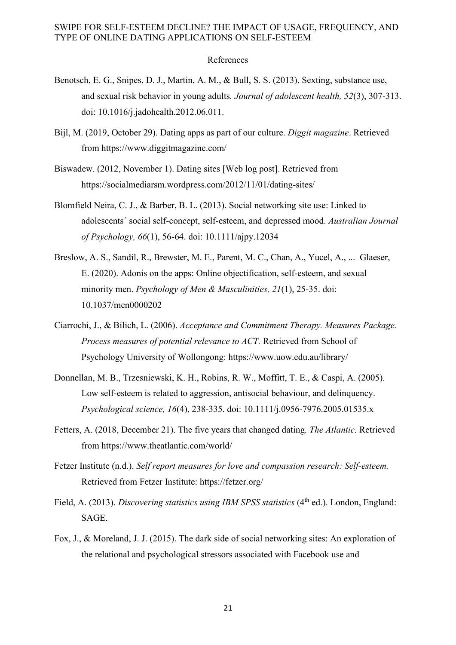#### References

- Benotsch, E. G., Snipes, D. J., Martin, A. M., & Bull, S. S. (2013). Sexting, substance use, and sexual risk behavior in young adults*. Journal of adolescent health, 52*(3), 307-313. doi: 10.1016/j.jadohealth.2012.06.011.
- Bijl, M. (2019, October 29). Dating apps as part of our culture. *Diggit magazine*. Retrieved from https://www.diggitmagazine.com/
- Biswadew. (2012, November 1). Dating sites [Web log post]. Retrieved from https://socialmediarsm.wordpress.com/2012/11/01/dating-sites/
- Blomfield Neira, C. J., & Barber, B. L. (2013). Social networking site use: Linked to adolescents´ social self-concept, self-esteem, and depressed mood. *Australian Journal of Psychology, 66*(1), 56-64. doi: 10.1111/ajpy.12034
- Breslow, A. S., Sandil, R., Brewster, M. E., Parent, M. C., Chan, A., Yucel, A., ... Glaeser, E. (2020). Adonis on the apps: Online objectification, self-esteem, and sexual minority men. *Psychology of Men & Masculinities, 21*(1), 25-35. doi: 10.1037/men0000202
- Ciarrochi, J., & Bilich, L. (2006). *Acceptance and Commitment Therapy. Measures Package. Process measures of potential relevance to ACT.* Retrieved from School of Psychology University of Wollongong: https://www.uow.edu.au/library/
- Donnellan, M. B., Trzesniewski, K. H., Robins, R. W., Moffitt, T. E., & Caspi, A. (2005). Low self-esteem is related to aggression, antisocial behaviour, and delinquency. *Psychological science, 16*(4), 238-335. doi: 10.1111/j.0956-7976.2005.01535.x
- Fetters, A. (2018, December 21). The five years that changed dating*. The Atlantic.* Retrieved from https://www.theatlantic.com/world/
- Fetzer Institute (n.d.). *Self report measures for love and compassion research: Self-esteem.* Retrieved from Fetzer Institute: https://fetzer.org/
- Field, A. (2013). *Discovering statistics using IBM SPSS statistics* (4<sup>th</sup> ed.). London, England: SAGE.
- Fox, J., & Moreland, J. J. (2015). The dark side of social networking sites: An exploration of the relational and psychological stressors associated with Facebook use and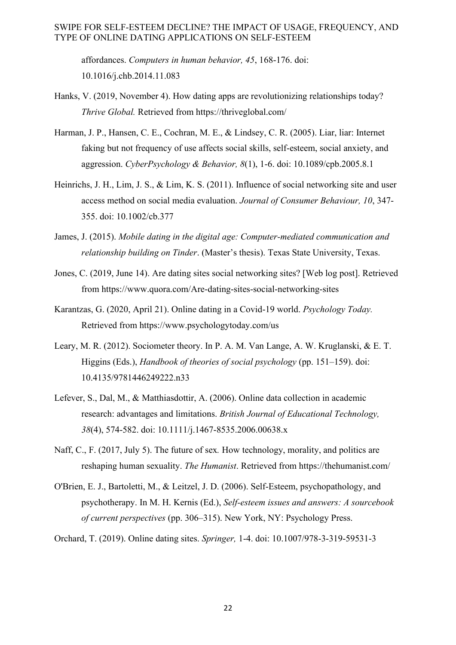affordances. *Computers in human behavior, 45*, 168-176. doi: 10.1016/j.chb.2014.11.083

- Hanks, V. (2019, November 4). How dating apps are revolutionizing relationships today? *Thrive Global.* Retrieved from https://thriveglobal.com/
- Harman, J. P., Hansen, C. E., Cochran, M. E., & Lindsey, C. R. (2005). Liar, liar: Internet faking but not frequency of use affects social skills, self-esteem, social anxiety, and aggression. *CyberPsychology & Behavior, 8*(1), 1-6. doi: 10.1089/cpb.2005.8.1
- Heinrichs, J. H., Lim, J. S., & Lim, K. S. (2011). Influence of social networking site and user access method on social media evaluation. *Journal of Consumer Behaviour, 10*, 347- 355. doi: 10.1002/cb.377
- James, J. (2015). *Mobile dating in the digital age: Computer-mediated communication and relationship building on Tinder*. (Master's thesis). Texas State University, Texas.
- Jones, C. (2019, June 14). Are dating sites social networking sites? [Web log post]. Retrieved from https://www.quora.com/Are-dating-sites-social-networking-sites
- Karantzas, G. (2020, April 21). Online dating in a Covid-19 world. *Psychology Today.* Retrieved from https://www.psychologytoday.com/us
- Leary, M. R. (2012). Sociometer theory. In P. A. M. Van Lange, A. W. Kruglanski, & E. T. Higgins (Eds.), *Handbook of theories of social psychology* (pp. 151–159). doi: 10.4135/9781446249222.n33
- Lefever, S., Dal, M., & Matthiasdottir, A. (2006). Online data collection in academic research: advantages and limitations. *British Journal of Educational Technology, 38*(4), 574-582. doi: 10.1111/j.1467-8535.2006.00638.x
- Naff, C., F. (2017, July 5). The future of sex*.* How technology, morality, and politics are reshaping human sexuality. *The Humanist*. Retrieved from https://thehumanist.com/
- O'Brien, E. J., Bartoletti, M., & Leitzel, J. D. (2006). Self-Esteem, psychopathology, and psychotherapy. In M. H. Kernis (Ed.), *Self-esteem issues and answers: A sourcebook of current perspectives* (pp. 306–315). New York, NY: Psychology Press.
- Orchard, T. (2019). Online dating sites. *Springer,* 1-4. doi: 10.1007/978-3-319-59531-3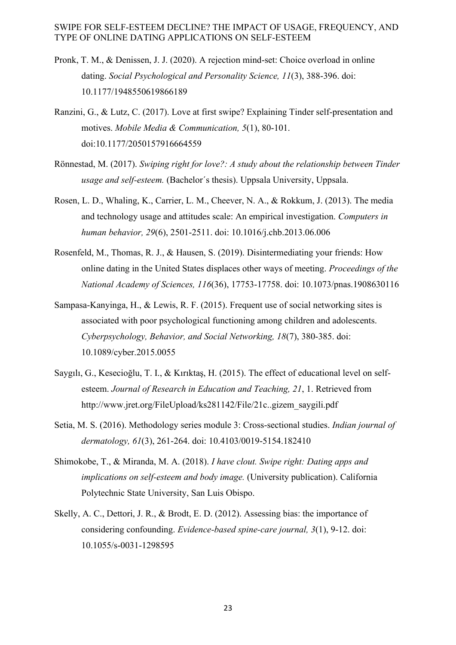- Pronk, T. M., & Denissen, J. J. (2020). A rejection mind-set: Choice overload in online dating. *Social Psychological and Personality Science, 11*(3), 388-396. doi: 10.1177/1948550619866189
- Ranzini, G., & Lutz, C. (2017). Love at first swipe? Explaining Tinder self-presentation and motives. *Mobile Media & Communication, 5*(1), 80-101. doi:10.1177/2050157916664559
- Rönnestad, M. (2017). *Swiping right for love?: A study about the relationship between Tinder usage and self-esteem.* (Bachelor´s thesis). Uppsala University, Uppsala.
- Rosen, L. D., Whaling, K., Carrier, L. M., Cheever, N. A., & Rokkum, J. (2013). The media and technology usage and attitudes scale: An empirical investigation. *Computers in human behavior, 29*(6), 2501-2511. doi: 10.1016/j.chb.2013.06.006
- Rosenfeld, M., Thomas, R. J., & Hausen, S. (2019). Disintermediating your friends: How online dating in the United States displaces other ways of meeting. *Proceedings of the National Academy of Sciences, 116*(36), 17753-17758. doi: 10.1073/pnas.1908630116
- Sampasa-Kanyinga, H., & Lewis, R. F. (2015). Frequent use of social networking sites is associated with poor psychological functioning among children and adolescents. *Cyberpsychology, Behavior, and Social Networking, 18*(7), 380-385. doi: 10.1089/cyber.2015.0055
- Saygılı, G., Kesecioğlu, T. I., & Kırıktaş, H. (2015). The effect of educational level on selfesteem. *Journal of Research in Education and Teaching, 21*, 1. Retrieved from http://www.jret.org/FileUpload/ks281142/File/21c..gizem\_saygili.pdf
- Setia, M. S. (2016). Methodology series module 3: Cross-sectional studies. *Indian journal of dermatology, 61*(3), 261-264. doi: 10.4103/0019-5154.182410
- Shimokobe, T., & Miranda, M. A. (2018). *I have clout. Swipe right: Dating apps and implications on self-esteem and body image.* (University publication). California Polytechnic State University, San Luis Obispo.
- Skelly, A. C., Dettori, J. R., & Brodt, E. D. (2012). Assessing bias: the importance of considering confounding. *Evidence-based spine-care journal, 3*(1), 9-12. doi: 10.1055/s-0031-1298595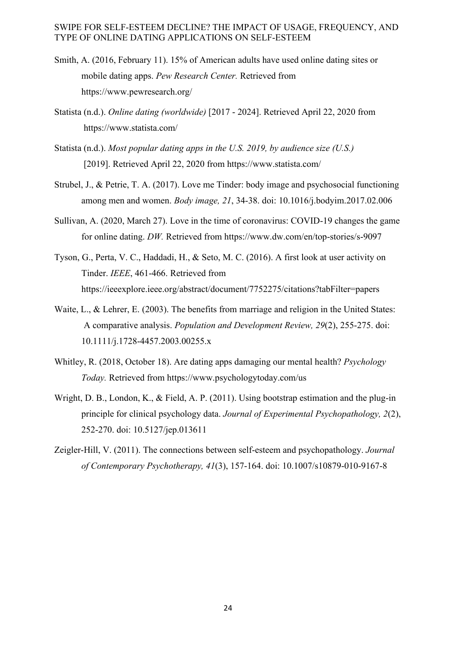- Smith, A. (2016, February 11). 15% of American adults have used online dating sites or mobile dating apps. *Pew Research Center.* Retrieved from https://www.pewresearch.org/
- Statista (n.d.). *Online dating (worldwide)* [2017 2024]. Retrieved April 22, 2020 from https://www.statista.com/
- Statista (n.d.). *Most popular dating apps in the U.S. 2019, by audience size (U.S.)* [2019]. Retrieved April 22, 2020 from https://www.statista.com/
- Strubel, J., & Petrie, T. A. (2017). Love me Tinder: body image and psychosocial functioning among men and women. *Body image, 21*, 34-38. doi: 10.1016/j.bodyim.2017.02.006
- Sullivan, A. (2020, March 27). Love in the time of coronavirus: COVID-19 changes the game for online dating. *DW.* Retrieved from https://www.dw.com/en/top-stories/s-9097
- Tyson, G., Perta, V. C., Haddadi, H., & Seto, M. C. (2016). A first look at user activity on Tinder. *IEEE*, 461-466. Retrieved from https://ieeexplore.ieee.org/abstract/document/7752275/citations?tabFilter=papers
- Waite, L., & Lehrer, E. (2003). The benefits from marriage and religion in the United States: A comparative analysis. *Population and Development Review, 29*(2), 255-275. doi: 10.1111/j.1728-4457.2003.00255.x
- Whitley, R. (2018, October 18). Are dating apps damaging our mental health? *Psychology Today.* Retrieved from https://www.psychologytoday.com/us
- Wright, D. B., London, K., & Field, A. P. (2011). Using bootstrap estimation and the plug-in principle for clinical psychology data. *Journal of Experimental Psychopathology, 2*(2), 252-270. doi: 10.5127/jep.013611
- Zeigler-Hill, V. (2011). The connections between self-esteem and psychopathology. *Journal of Contemporary Psychotherapy, 41*(3), 157-164. doi: 10.1007/s10879-010-9167-8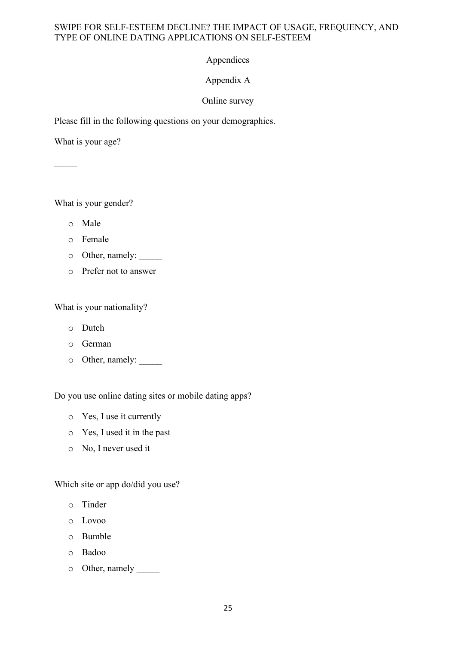# Appendices

# Appendix A

# Online survey

Please fill in the following questions on your demographics.

What is your age?

 $\mathcal{L}$ 

What is your gender?

- o Male
- o Female
- o Other, namely: \_\_\_\_\_
- o Prefer not to answer

What is your nationality?

- o Dutch
- o German
- o Other, namely: \_\_\_\_\_

Do you use online dating sites or mobile dating apps?

- o Yes, I use it currently
- o Yes, I used it in the past
- o No, I never used it

Which site or app do/did you use?

- o Tinder
- o Lovoo
- o Bumble
- o Badoo
- o Other, namely \_\_\_\_\_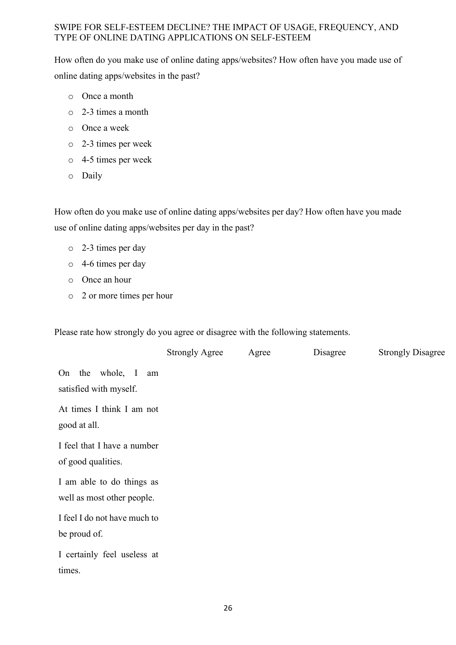How often do you make use of online dating apps/websites? How often have you made use of online dating apps/websites in the past?

- o Once a month
- o 2-3 times a month
- o Once a week
- o 2-3 times per week
- o 4-5 times per week
- o Daily

How often do you make use of online dating apps/websites per day? How often have you made use of online dating apps/websites per day in the past?

- o 2-3 times per day
- o 4-6 times per day
- o Once an hour
- o 2 or more times per hour

Please rate how strongly do you agree or disagree with the following statements.

|                                                         | <b>Strongly Agree</b> | Agree | Disagree | <b>Strongly Disagree</b> |
|---------------------------------------------------------|-----------------------|-------|----------|--------------------------|
| On the whole, I<br>am<br>satisfied with myself.         |                       |       |          |                          |
| At times I think I am not<br>good at all.               |                       |       |          |                          |
| I feel that I have a number<br>of good qualities.       |                       |       |          |                          |
| I am able to do things as<br>well as most other people. |                       |       |          |                          |
| I feel I do not have much to<br>be proud of.            |                       |       |          |                          |
| I certainly feel useless at<br>times.                   |                       |       |          |                          |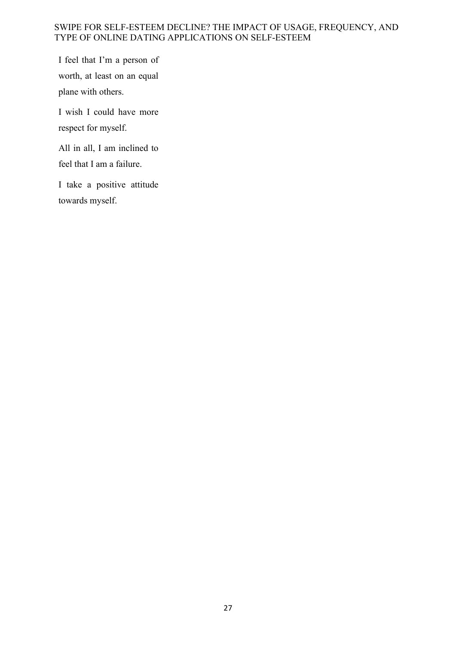I feel that I'm a person of worth, at least on an equal plane with others.

I wish I could have more respect for myself.

All in all, I am inclined to feel that I am a failure.

I take a positive attitude towards myself.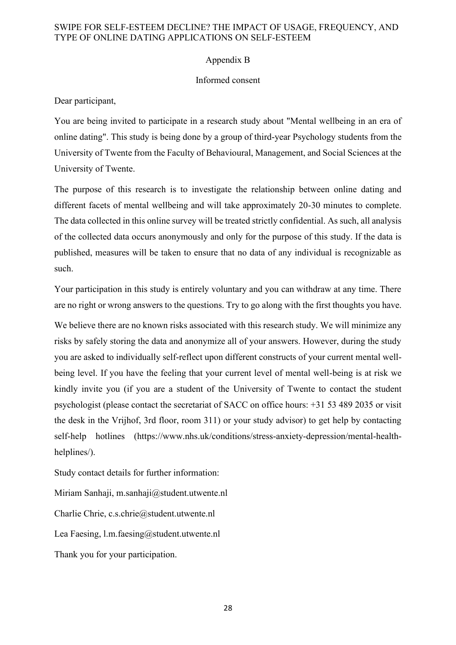## Appendix B

### Informed consent

Dear participant,

You are being invited to participate in a research study about "Mental wellbeing in an era of online dating". This study is being done by a group of third-year Psychology students from the University of Twente from the Faculty of Behavioural, Management, and Social Sciences at the University of Twente.

The purpose of this research is to investigate the relationship between online dating and different facets of mental wellbeing and will take approximately 20-30 minutes to complete. The data collected in this online survey will be treated strictly confidential. As such, all analysis of the collected data occurs anonymously and only for the purpose of this study. If the data is published, measures will be taken to ensure that no data of any individual is recognizable as such.

Your participation in this study is entirely voluntary and you can withdraw at any time. There are no right or wrong answers to the questions. Try to go along with the first thoughts you have.

We believe there are no known risks associated with this research study. We will minimize any risks by safely storing the data and anonymize all of your answers. However, during the study you are asked to individually self-reflect upon different constructs of your current mental wellbeing level. If you have the feeling that your current level of mental well-being is at risk we kindly invite you (if you are a student of the University of Twente to contact the student psychologist (please contact the secretariat of SACC on office hours: +31 53 489 2035 or visit the desk in the Vrijhof, 3rd floor, room 311) or your study advisor) to get help by contacting self-help hotlines (https://www.nhs.uk/conditions/stress-anxiety-depression/mental-healthhelplines/).

Study contact details for further information:

Miriam Sanhaji, m.sanhaji@student.utwente.nl

Charlie Chrie, c.s.chrie@student.utwente.nl

Lea Faesing, l.m.faesing@student.utwente.nl

Thank you for your participation.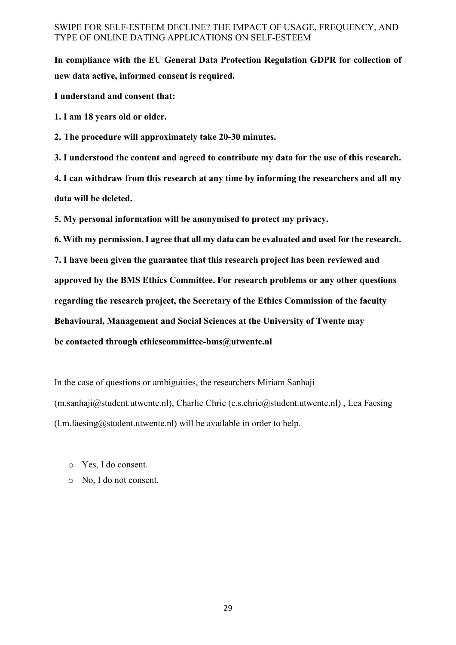**In compliance with the EU General Data Protection Regulation GDPR for collection of new data active, informed consent is required.**

**I understand and consent that:**

**1. I am 18 years old or older.**

**2. The procedure will approximately take 20-30 minutes.**

**3. I understood the content and agreed to contribute my data for the use of this research.**

**4. I can withdraw from this research at any time by informing the researchers and all my data will be deleted.**

**5. My personal information will be anonymised to protect my privacy.**

**6. With my permission, I agree that all my data can be evaluated and used for the research.**

**7. I have been given the guarantee that this research project has been reviewed and approved by the BMS Ethics Committee. For research problems or any other questions regarding the research project, the Secretary of the Ethics Commission of the faculty Behavioural, Management and Social Sciences at the University of Twente may be contacted through ethicscommittee-bms@utwente.nl**

In the case of questions or ambiguities, the researchers Miriam Sanhaji (m.sanhaji@student.utwente.nl), Charlie Chrie (c.s.chrie@student.utwente.nl) , Lea Faesing  $(l.m.faesing@student.utwente.nl)$  will be available in order to help.

- o Yes, I do consent.
- o No, I do not consent.